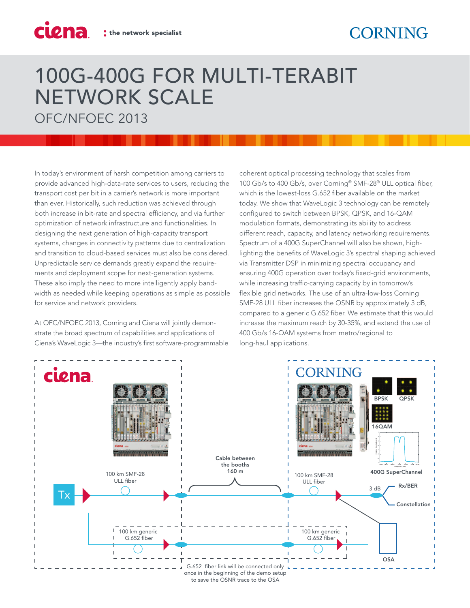## 100G-400G FOR MULTI-TERABIT NETWORK SCALE

OFC/NFOEC 2013

ciena

In today's environment of harsh competition among carriers to provide advanced high-data-rate services to users, reducing the transport cost per bit in a carrier's network is more important than ever. Historically, such reduction was achieved through both increase in bit-rate and spectral efficiency, and via further optimization of network infrastructure and functionalities. In designing the next generation of high-capacity transport systems, changes in connectivity patterns due to centralization and transition to cloud-based services must also be considered. Unpredictable service demands greatly expand the requirements and deployment scope for next-generation systems. These also imply the need to more intelligently apply bandwidth as needed while keeping operations as simple as possible for service and network providers.

At OFC/NFOEC 2013, Corning and Ciena will jointly demonstrate the broad spectrum of capabilities and applications of Ciena's WaveLogic 3—the industry's first software-programmable coherent optical processing technology that scales from 100 Gb/s to 400 Gb/s, over Corning® SMF-28® ULL optical fiber, which is the lowest-loss G.652 fiber available on the market today. We show that WaveLogic 3 technology can be remotely configured to switch between BPSK, QPSK, and 16-QAM modulation formats, demonstrating its ability to address different reach, capacity, and latency networking requirements. Spectrum of a 400G SuperChannel will also be shown, highlighting the benefits of WaveLogic 3's spectral shaping achieved via Transmitter DSP in minimizing spectral occupancy and ensuring 400G operation over today's fixed-grid environments, while increasing traffic-carrying capacity by in tomorrow's flexible grid networks. The use of an ultra-low-loss Corning SMF-28 ULL fiber increases the OSNR by approximately 3 dB, compared to a generic G.652 fiber. We estimate that this would increase the maximum reach by 30-35%, and extend the use of 400 Gb/s 16-QAM systems from metro/regional to long-haul applications.



to save the OSNR trace to the OSA